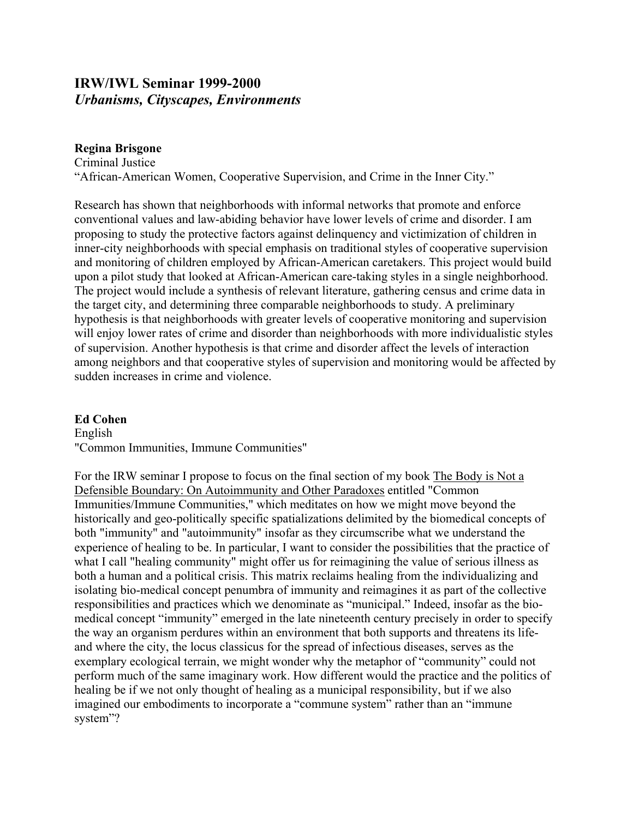# **IRW/IWL Seminar 1999-2000**  *Urbanisms, Cityscapes, Environments*

### **Regina Brisgone**

Criminal Justice "African-American Women, Cooperative Supervision, and Crime in the Inner City."

Research has shown that neighborhoods with informal networks that promote and enforce conventional values and law-abiding behavior have lower levels of crime and disorder. I am proposing to study the protective factors against delinquency and victimization of children in inner-city neighborhoods with special emphasis on traditional styles of cooperative supervision and monitoring of children employed by African-American caretakers. This project would build upon a pilot study that looked at African-American care-taking styles in a single neighborhood. The project would include a synthesis of relevant literature, gathering census and crime data in the target city, and determining three comparable neighborhoods to study. A preliminary hypothesis is that neighborhoods with greater levels of cooperative monitoring and supervision will enjoy lower rates of crime and disorder than neighborhoods with more individualistic styles of supervision. Another hypothesis is that crime and disorder affect the levels of interaction among neighbors and that cooperative styles of supervision and monitoring would be affected by sudden increases in crime and violence.

#### **Ed Cohen**

English "Common Immunities, Immune Communities"

For the IRW seminar I propose to focus on the final section of my book The Body is Not a Defensible Boundary: On Autoimmunity and Other Paradoxes entitled "Common Immunities/Immune Communities," which meditates on how we might move beyond the historically and geo-politically specific spatializations delimited by the biomedical concepts of both "immunity" and "autoimmunity" insofar as they circumscribe what we understand the experience of healing to be. In particular, I want to consider the possibilities that the practice of what I call "healing community" might offer us for reimagining the value of serious illness as both a human and a political crisis. This matrix reclaims healing from the individualizing and isolating bio-medical concept penumbra of immunity and reimagines it as part of the collective responsibilities and practices which we denominate as "municipal." Indeed, insofar as the biomedical concept "immunity" emerged in the late nineteenth century precisely in order to specify the way an organism perdures within an environment that both supports and threatens its lifeand where the city, the locus classicus for the spread of infectious diseases, serves as the exemplary ecological terrain, we might wonder why the metaphor of "community" could not perform much of the same imaginary work. How different would the practice and the politics of healing be if we not only thought of healing as a municipal responsibility, but if we also imagined our embodiments to incorporate a "commune system" rather than an "immune system"?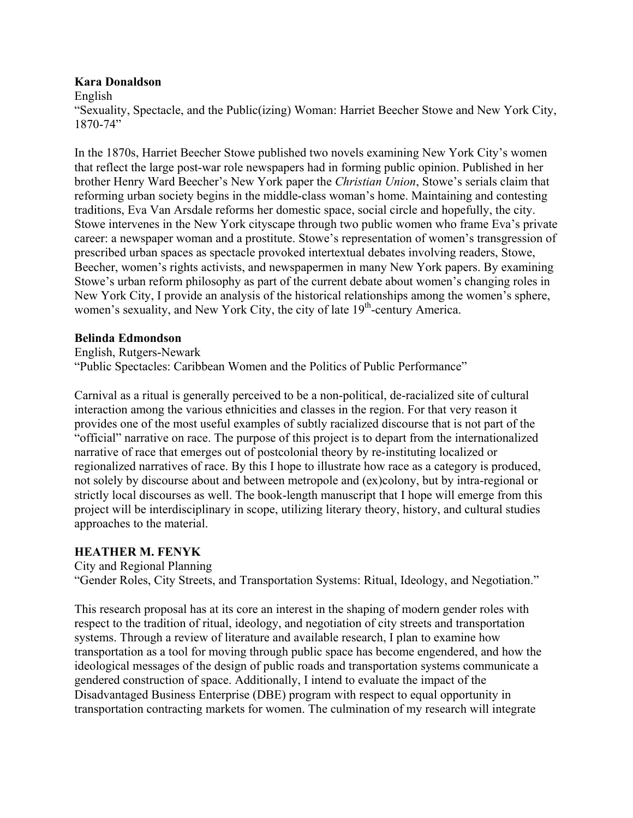#### **Kara Donaldson**

English

"Sexuality, Spectacle, and the Public(izing) Woman: Harriet Beecher Stowe and New York City, 1870-74"

In the 1870s, Harriet Beecher Stowe published two novels examining New York City's women that reflect the large post-war role newspapers had in forming public opinion. Published in her brother Henry Ward Beecher's New York paper the *Christian Union*, Stowe's serials claim that reforming urban society begins in the middle-class woman's home. Maintaining and contesting traditions, Eva Van Arsdale reforms her domestic space, social circle and hopefully, the city. Stowe intervenes in the New York cityscape through two public women who frame Eva's private career: a newspaper woman and a prostitute. Stowe's representation of women's transgression of prescribed urban spaces as spectacle provoked intertextual debates involving readers, Stowe, Beecher, women's rights activists, and newspapermen in many New York papers. By examining Stowe's urban reform philosophy as part of the current debate about women's changing roles in New York City, I provide an analysis of the historical relationships among the women's sphere, women's sexuality, and New York City, the city of late  $19<sup>th</sup>$ -century America.

### **Belinda Edmondson**

English, Rutgers-Newark "Public Spectacles: Caribbean Women and the Politics of Public Performance"

Carnival as a ritual is generally perceived to be a non-political, de-racialized site of cultural interaction among the various ethnicities and classes in the region. For that very reason it provides one of the most useful examples of subtly racialized discourse that is not part of the "official" narrative on race. The purpose of this project is to depart from the internationalized narrative of race that emerges out of postcolonial theory by re-instituting localized or regionalized narratives of race. By this I hope to illustrate how race as a category is produced, not solely by discourse about and between metropole and (ex)colony, but by intra-regional or strictly local discourses as well. The book-length manuscript that I hope will emerge from this project will be interdisciplinary in scope, utilizing literary theory, history, and cultural studies approaches to the material.

## **HEATHER M. FENYK**

City and Regional Planning

"Gender Roles, City Streets, and Transportation Systems: Ritual, Ideology, and Negotiation."

This research proposal has at its core an interest in the shaping of modern gender roles with respect to the tradition of ritual, ideology, and negotiation of city streets and transportation systems. Through a review of literature and available research, I plan to examine how transportation as a tool for moving through public space has become engendered, and how the ideological messages of the design of public roads and transportation systems communicate a gendered construction of space. Additionally, I intend to evaluate the impact of the Disadvantaged Business Enterprise (DBE) program with respect to equal opportunity in transportation contracting markets for women. The culmination of my research will integrate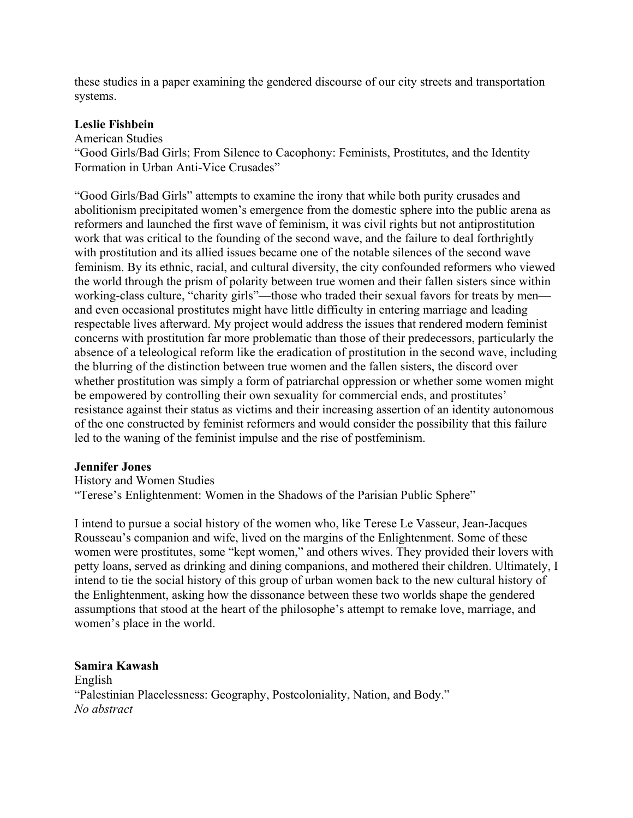these studies in a paper examining the gendered discourse of our city streets and transportation systems.

#### **Leslie Fishbein**

American Studies

"Good Girls/Bad Girls; From Silence to Cacophony: Feminists, Prostitutes, and the Identity Formation in Urban Anti-Vice Crusades"

"Good Girls/Bad Girls" attempts to examine the irony that while both purity crusades and abolitionism precipitated women's emergence from the domestic sphere into the public arena as reformers and launched the first wave of feminism, it was civil rights but not antiprostitution work that was critical to the founding of the second wave, and the failure to deal forthrightly with prostitution and its allied issues became one of the notable silences of the second wave feminism. By its ethnic, racial, and cultural diversity, the city confounded reformers who viewed the world through the prism of polarity between true women and their fallen sisters since within working-class culture, "charity girls"—those who traded their sexual favors for treats by men and even occasional prostitutes might have little difficulty in entering marriage and leading respectable lives afterward. My project would address the issues that rendered modern feminist concerns with prostitution far more problematic than those of their predecessors, particularly the absence of a teleological reform like the eradication of prostitution in the second wave, including the blurring of the distinction between true women and the fallen sisters, the discord over whether prostitution was simply a form of patriarchal oppression or whether some women might be empowered by controlling their own sexuality for commercial ends, and prostitutes' resistance against their status as victims and their increasing assertion of an identity autonomous of the one constructed by feminist reformers and would consider the possibility that this failure led to the waning of the feminist impulse and the rise of postfeminism.

#### **Jennifer Jones**

History and Women Studies

"Terese's Enlightenment: Women in the Shadows of the Parisian Public Sphere"

I intend to pursue a social history of the women who, like Terese Le Vasseur, Jean-Jacques Rousseau's companion and wife, lived on the margins of the Enlightenment. Some of these women were prostitutes, some "kept women," and others wives. They provided their lovers with petty loans, served as drinking and dining companions, and mothered their children. Ultimately, I intend to tie the social history of this group of urban women back to the new cultural history of the Enlightenment, asking how the dissonance between these two worlds shape the gendered assumptions that stood at the heart of the philosophe's attempt to remake love, marriage, and women's place in the world.

**Samira Kawash** 

English "Palestinian Placelessness: Geography, Postcoloniality, Nation, and Body." *No abstract*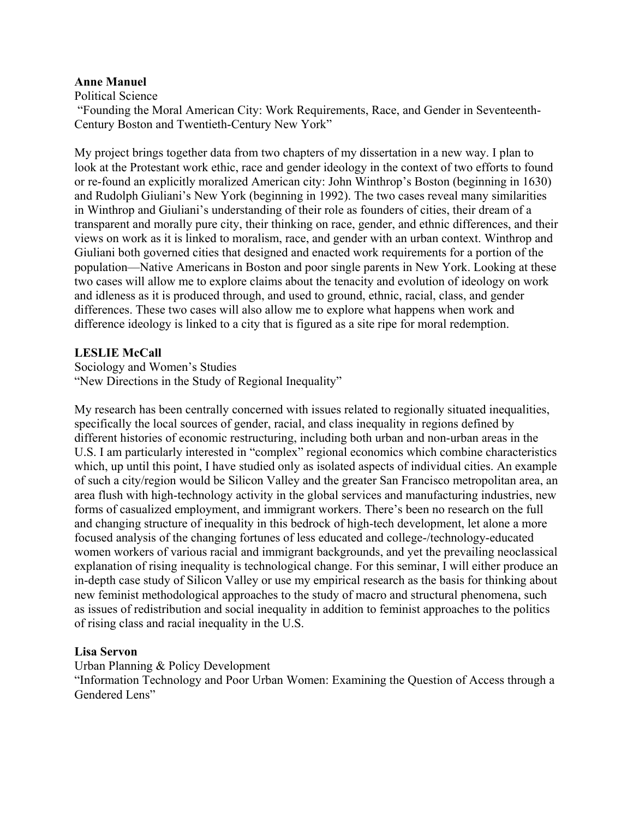#### **Anne Manuel**

Political Science

 "Founding the Moral American City: Work Requirements, Race, and Gender in Seventeenth-Century Boston and Twentieth-Century New York"

My project brings together data from two chapters of my dissertation in a new way. I plan to look at the Protestant work ethic, race and gender ideology in the context of two efforts to found or re-found an explicitly moralized American city: John Winthrop's Boston (beginning in 1630) and Rudolph Giuliani's New York (beginning in 1992). The two cases reveal many similarities in Winthrop and Giuliani's understanding of their role as founders of cities, their dream of a transparent and morally pure city, their thinking on race, gender, and ethnic differences, and their views on work as it is linked to moralism, race, and gender with an urban context. Winthrop and Giuliani both governed cities that designed and enacted work requirements for a portion of the population—Native Americans in Boston and poor single parents in New York. Looking at these two cases will allow me to explore claims about the tenacity and evolution of ideology on work and idleness as it is produced through, and used to ground, ethnic, racial, class, and gender differences. These two cases will also allow me to explore what happens when work and difference ideology is linked to a city that is figured as a site ripe for moral redemption.

#### **LESLIE McCall**

Sociology and Women's Studies "New Directions in the Study of Regional Inequality"

My research has been centrally concerned with issues related to regionally situated inequalities, specifically the local sources of gender, racial, and class inequality in regions defined by different histories of economic restructuring, including both urban and non-urban areas in the U.S. I am particularly interested in "complex" regional economics which combine characteristics which, up until this point. I have studied only as isolated aspects of individual cities. An example of such a city/region would be Silicon Valley and the greater San Francisco metropolitan area, an area flush with high-technology activity in the global services and manufacturing industries, new forms of casualized employment, and immigrant workers. There's been no research on the full and changing structure of inequality in this bedrock of high-tech development, let alone a more focused analysis of the changing fortunes of less educated and college-/technology-educated women workers of various racial and immigrant backgrounds, and yet the prevailing neoclassical explanation of rising inequality is technological change. For this seminar, I will either produce an in-depth case study of Silicon Valley or use my empirical research as the basis for thinking about new feminist methodological approaches to the study of macro and structural phenomena, such as issues of redistribution and social inequality in addition to feminist approaches to the politics of rising class and racial inequality in the U.S.

#### **Lisa Servon**

Urban Planning & Policy Development

"Information Technology and Poor Urban Women: Examining the Question of Access through a Gendered Lens"